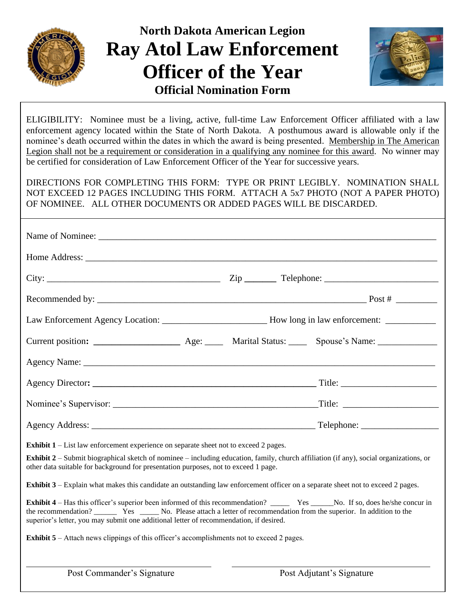

# **North Dakota American Legion Ray Atol Law Enforcement Officer of the Year Official Nomination Form**



ELIGIBILITY: Nominee must be a living, active, full-time Law Enforcement Officer affiliated with a law enforcement agency located within the State of North Dakota. A posthumous award is allowable only if the nominee's death occurred within the dates in which the award is being presented. Membership in The American Legion shall not be a requirement or consideration in a qualifying any nominee for this award. No winner may be certified for consideration of Law Enforcement Officer of the Year for successive years.

DIRECTIONS FOR COMPLETING THIS FORM: TYPE OR PRINT LEGIBLY. NOMINATION SHALL NOT EXCEED 12 PAGES INCLUDING THIS FORM. ATTACH A 5x7 PHOTO (NOT A PAPER PHOTO) OF NOMINEE. ALL OTHER DOCUMENTS OR ADDED PAGES WILL BE DISCARDED.

| Home Address: the contract of the contract of the contract of the contract of the contract of the contract of the contract of the contract of the contract of the contract of the contract of the contract of the contract of                |                                                                                                                |                           |
|----------------------------------------------------------------------------------------------------------------------------------------------------------------------------------------------------------------------------------------------|----------------------------------------------------------------------------------------------------------------|---------------------------|
|                                                                                                                                                                                                                                              |                                                                                                                |                           |
|                                                                                                                                                                                                                                              |                                                                                                                |                           |
|                                                                                                                                                                                                                                              | Law Enforcement Agency Location: _________________________________How long in law enforcement: _______________ |                           |
|                                                                                                                                                                                                                                              |                                                                                                                |                           |
|                                                                                                                                                                                                                                              |                                                                                                                |                           |
|                                                                                                                                                                                                                                              |                                                                                                                |                           |
|                                                                                                                                                                                                                                              |                                                                                                                |                           |
|                                                                                                                                                                                                                                              |                                                                                                                |                           |
| <b>Exhibit 1</b> – List law enforcement experience on separate sheet not to exceed 2 pages.<br><b>Exhibit 2</b> – Submit biographical sketch of nominee – including education, family, church affiliation (if any), social organizations, or |                                                                                                                |                           |
| other data suitable for background for presentation purposes, not to exceed 1 page.                                                                                                                                                          |                                                                                                                |                           |
| <b>Exhibit 3</b> – Explain what makes this candidate an outstanding law enforcement officer on a separate sheet not to exceed 2 pages.                                                                                                       |                                                                                                                |                           |
| the recommendation? Wes Western No. Please attach a letter of recommendation from the superior. In addition to the<br>superior's letter, you may submit one additional letter of recommendation, if desired.                                 |                                                                                                                |                           |
| <b>Exhibit 5</b> – Attach news clippings of this officer's accomplishments not to exceed 2 pages.                                                                                                                                            |                                                                                                                |                           |
| Post Commander's Signature                                                                                                                                                                                                                   |                                                                                                                | Post Adjutant's Signature |